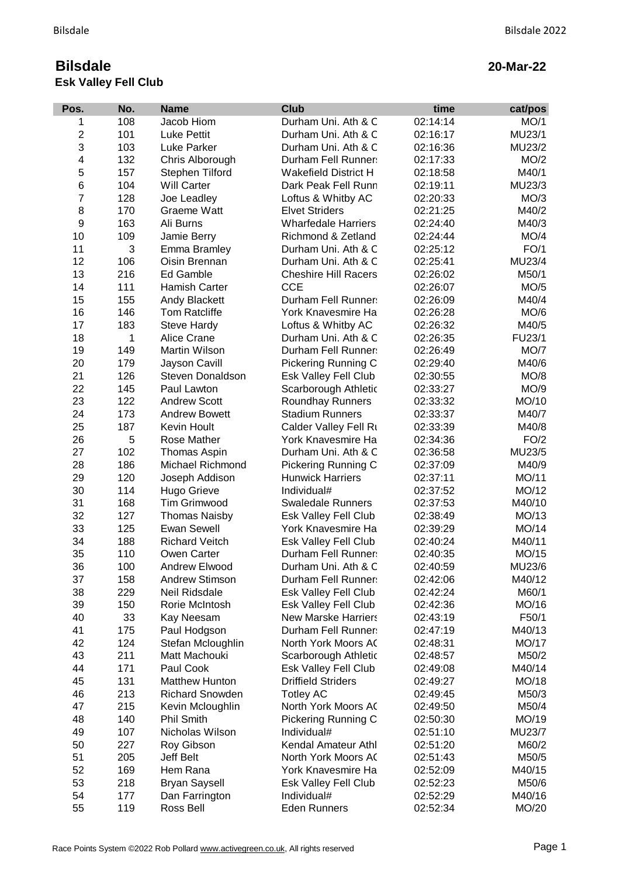## **Bilsdale Esk Valley Fell Club**

## **20-Mar-22**

| Pos.                    | No. | <b>Name</b>            | <b>Club</b>                 | time     | cat/pos |
|-------------------------|-----|------------------------|-----------------------------|----------|---------|
| 1                       | 108 | Jacob Hiom             | Durham Uni. Ath & C         | 02:14:14 | MO/1    |
| $\mathbf 2$             | 101 | <b>Luke Pettit</b>     | Durham Uni. Ath & C         | 02:16:17 | MU23/1  |
| 3                       | 103 | <b>Luke Parker</b>     | Durham Uni. Ath & C         | 02:16:36 | MU23/2  |
| $\overline{\mathbf{4}}$ | 132 | Chris Alborough        | Durham Fell Runner:         | 02:17:33 | MO/2    |
| 5                       | 157 | Stephen Tilford        | <b>Wakefield District H</b> | 02:18:58 | M40/1   |
| 6                       | 104 | <b>Will Carter</b>     | Dark Peak Fell Runn         | 02:19:11 | MU23/3  |
| $\overline{7}$          | 128 | Joe Leadley            | Loftus & Whitby AC          | 02:20:33 | MO/3    |
| 8                       | 170 | <b>Graeme Watt</b>     | <b>Elvet Striders</b>       | 02:21:25 | M40/2   |
| 9                       | 163 | Ali Burns              | <b>Wharfedale Harriers</b>  | 02:24:40 | M40/3   |
| 10                      | 109 | Jamie Berry            | Richmond & Zetland          | 02:24:44 | MO/4    |
| 11                      | 3   | Emma Bramley           | Durham Uni. Ath & C         | 02:25:12 | FO/1    |
| 12                      | 106 | Oisin Brennan          | Durham Uni. Ath & C         | 02:25:41 | MU23/4  |
| 13                      | 216 | Ed Gamble              | <b>Cheshire Hill Racers</b> | 02:26:02 | M50/1   |
| 14                      | 111 | Hamish Carter          | <b>CCE</b>                  | 02:26:07 | MO/5    |
| 15                      | 155 | <b>Andy Blackett</b>   | Durham Fell Runner:         | 02:26:09 | M40/4   |
| 16                      | 146 | Tom Ratcliffe          | York Knavesmire Ha          | 02:26:28 | MO/6    |
| 17                      | 183 | <b>Steve Hardy</b>     | Loftus & Whitby AC          | 02:26:32 | M40/5   |
| 18                      | 1   | Alice Crane            | Durham Uni. Ath & C         | 02:26:35 | FU23/1  |
| 19                      | 149 | Martin Wilson          | Durham Fell Runner:         | 02:26:49 | MO/7    |
| 20                      | 179 | Jayson Cavill          | Pickering Running C         | 02:29:40 | M40/6   |
| 21                      | 126 | Steven Donaldson       | Esk Valley Fell Club        | 02:30:55 | MO/8    |
| 22                      | 145 | Paul Lawton            | Scarborough Athletic        | 02:33:27 | MO/9    |
| 23                      | 122 | <b>Andrew Scott</b>    | Roundhay Runners            | 02:33:32 | MO/10   |
| 24                      | 173 | <b>Andrew Bowett</b>   | <b>Stadium Runners</b>      | 02:33:37 | M40/7   |
| 25                      | 187 | Kevin Hoult            | Calder Valley Fell Ru       | 02:33:39 | M40/8   |
| 26                      | 5   | Rose Mather            | York Knavesmire Ha          | 02:34:36 | FO/2    |
| 27                      | 102 | Thomas Aspin           | Durham Uni. Ath & C         | 02:36:58 | MU23/5  |
| 28                      | 186 | Michael Richmond       | Pickering Running C         | 02:37:09 | M40/9   |
| 29                      | 120 | Joseph Addison         | <b>Hunwick Harriers</b>     | 02:37:11 | MO/11   |
| 30                      | 114 | <b>Hugo Grieve</b>     | Individual#                 | 02:37:52 | MO/12   |
| 31                      | 168 | <b>Tim Grimwood</b>    | <b>Swaledale Runners</b>    | 02:37:53 | M40/10  |
| 32                      | 127 | <b>Thomas Naisby</b>   | Esk Valley Fell Club        | 02:38:49 | MO/13   |
| 33                      | 125 | <b>Ewan Sewell</b>     | York Knavesmire Ha          | 02:39:29 | MO/14   |
| 34                      | 188 | <b>Richard Veitch</b>  | Esk Valley Fell Club        | 02:40:24 | M40/11  |
| 35                      | 110 | Owen Carter            | Durham Fell Runner:         | 02:40:35 | MO/15   |
| 36                      | 100 | Andrew Elwood          | Durham Uni. Ath & C         | 02:40:59 | MU23/6  |
| 37                      | 158 | <b>Andrew Stimson</b>  | Durham Fell Runner:         | 02:42:06 | M40/12  |
| 38                      | 229 | Neil Ridsdale          | Esk Valley Fell Club        | 02:42:24 | M60/1   |
| 39                      | 150 | Rorie McIntosh         | Esk Valley Fell Club        | 02:42:36 | MO/16   |
| 40                      | 33  | Kay Neesam             | <b>New Marske Harriers</b>  | 02:43:19 | F50/1   |
| 41                      | 175 | Paul Hodgson           | Durham Fell Runner:         | 02:47:19 | M40/13  |
| 42                      | 124 | Stefan Mcloughlin      | North York Moors AC         | 02:48:31 | MO/17   |
| 43                      | 211 | Matt Machouki          | Scarborough Athletic        | 02:48:57 | M50/2   |
| 44                      | 171 | Paul Cook              | Esk Valley Fell Club        | 02:49:08 | M40/14  |
| 45                      | 131 | Matthew Hunton         | <b>Driffield Striders</b>   | 02:49:27 | MO/18   |
| 46                      | 213 | <b>Richard Snowden</b> | <b>Totley AC</b>            | 02:49:45 | M50/3   |
| 47                      | 215 | Kevin Mcloughlin       | North York Moors AC         | 02:49:50 | M50/4   |
| 48                      | 140 | <b>Phil Smith</b>      | Pickering Running C         | 02:50:30 | MO/19   |
| 49                      | 107 | Nicholas Wilson        | Individual#                 | 02:51:10 | MU23/7  |
| 50                      | 227 | Roy Gibson             | Kendal Amateur Athl         | 02:51:20 | M60/2   |
| 51                      | 205 | Jeff Belt              | North York Moors AC         | 02:51:43 | M50/5   |
| 52                      | 169 | Hem Rana               | York Knavesmire Ha          | 02:52:09 | M40/15  |
| 53                      | 218 | <b>Bryan Saysell</b>   | Esk Valley Fell Club        | 02:52:23 | M50/6   |
| 54                      | 177 | Dan Farrington         | Individual#                 | 02:52:29 | M40/16  |
| 55                      | 119 | Ross Bell              | <b>Eden Runners</b>         | 02:52:34 | MO/20   |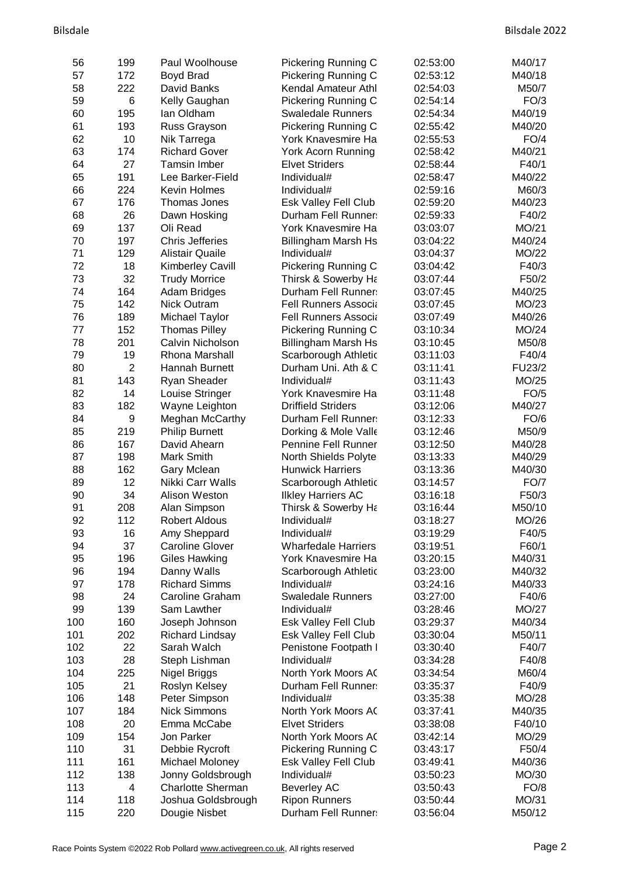| 56  | 199            | Paul Woolhouse           | Pickering Running C         | 02:53:00 | M40/17      |
|-----|----------------|--------------------------|-----------------------------|----------|-------------|
| 57  | 172            | Boyd Brad                | Pickering Running C         | 02:53:12 | M40/18      |
| 58  | 222            | David Banks              | Kendal Amateur Athl         | 02:54:03 | M50/7       |
| 59  | 6              | Kelly Gaughan            | Pickering Running C         | 02:54:14 | FO/3        |
| 60  | 195            | lan Oldham               | <b>Swaledale Runners</b>    | 02:54:34 | M40/19      |
| 61  | 193            | Russ Grayson             | Pickering Running C         | 02:55:42 | M40/20      |
| 62  | 10             | Nik Tarrega              | York Knavesmire Ha          | 02:55:53 | FO/4        |
| 63  | 174            | <b>Richard Gover</b>     | York Acorn Running          | 02:58:42 | M40/21      |
| 64  | 27             | <b>Tamsin Imber</b>      | <b>Elvet Striders</b>       | 02:58:44 | F40/1       |
| 65  | 191            | Lee Barker-Field         | Individual#                 | 02:58:47 | M40/22      |
| 66  | 224            | <b>Kevin Holmes</b>      | Individual#                 | 02:59:16 | M60/3       |
| 67  | 176            | Thomas Jones             | Esk Valley Fell Club        | 02:59:20 | M40/23      |
| 68  | 26             | Dawn Hosking             | Durham Fell Runner:         | 02:59:33 | F40/2       |
| 69  | 137            | Oli Read                 | York Knavesmire Ha          | 03:03:07 | MO/21       |
| 70  | 197            | <b>Chris Jefferies</b>   | <b>Billingham Marsh Hs</b>  | 03:04:22 | M40/24      |
| 71  | 129            | <b>Alistair Quaile</b>   | Individual#                 | 03:04:37 | MO/22       |
| 72  | 18             | <b>Kimberley Cavill</b>  | Pickering Running C         | 03:04:42 | F40/3       |
| 73  | 32             | <b>Trudy Morrice</b>     | Thirsk & Sowerby Ha         | 03:07:44 | F50/2       |
| 74  | 164            | <b>Adam Bridges</b>      | Durham Fell Runner:         | 03:07:45 | M40/25      |
| 75  | 142            | <b>Nick Outram</b>       | <b>Fell Runners Associa</b> | 03:07:45 | MO/23       |
| 76  | 189            | Michael Taylor           | <b>Fell Runners Associa</b> | 03:07:49 | M40/26      |
| 77  | 152            | <b>Thomas Pilley</b>     | Pickering Running C         | 03:10:34 | MO/24       |
| 78  | 201            | Calvin Nicholson         | <b>Billingham Marsh Hs</b>  | 03:10:45 | M50/8       |
| 79  | 19             | Rhona Marshall           | Scarborough Athletic        | 03:11:03 | F40/4       |
| 80  | $\overline{2}$ | Hannah Burnett           | Durham Uni. Ath & C         | 03:11:41 | FU23/2      |
| 81  | 143            | Ryan Sheader             | Individual#                 | 03:11:43 | MO/25       |
| 82  | 14             | Louise Stringer          | York Knavesmire Ha          | 03:11:48 | FO/5        |
| 83  | 182            | Wayne Leighton           | <b>Driffield Striders</b>   | 03:12:06 | M40/27      |
| 84  | 9              | Meghan McCarthy          | Durham Fell Runner:         | 03:12:33 | FO/6        |
| 85  | 219            | <b>Philip Burnett</b>    | Dorking & Mole Valle        | 03:12:46 | M50/9       |
| 86  | 167            | David Ahearn             | Pennine Fell Runner         | 03:12:50 | M40/28      |
| 87  | 198            | Mark Smith               | North Shields Polyte        | 03:13:33 | M40/29      |
| 88  | 162            | Gary Mclean              | <b>Hunwick Harriers</b>     | 03:13:36 | M40/30      |
| 89  | 12             | Nikki Carr Walls         | Scarborough Athletic        | 03:14:57 | <b>FO/7</b> |
| 90  | 34             | Alison Weston            | <b>Ilkley Harriers AC</b>   | 03:16:18 | F50/3       |
| 91  | 208            | Alan Simpson             | Thirsk & Sowerby Ha         | 03:16:44 | M50/10      |
| 92  | 112            | <b>Robert Aldous</b>     | Individual#                 | 03:18:27 | MO/26       |
| 93  | 16             | Amy Sheppard             | Individual#                 | 03:19:29 | F40/5       |
| 94  | 37             | <b>Caroline Glover</b>   | <b>Wharfedale Harriers</b>  | 03:19:51 | F60/1       |
| 95  | 196            | Giles Hawking            | York Knavesmire Ha          | 03:20:15 | M40/31      |
| 96  | 194            | Danny Walls              | Scarborough Athletic        | 03:23:00 | M40/32      |
| 97  | 178            | <b>Richard Simms</b>     | Individual#                 | 03:24:16 | M40/33      |
| 98  | 24             | Caroline Graham          | <b>Swaledale Runners</b>    | 03:27:00 | F40/6       |
| 99  | 139            | Sam Lawther              | Individual#                 | 03:28:46 | MO/27       |
| 100 | 160            | Joseph Johnson           | Esk Valley Fell Club        | 03:29:37 | M40/34      |
| 101 | 202            | <b>Richard Lindsay</b>   | Esk Valley Fell Club        | 03:30:04 | M50/11      |
| 102 | 22             | Sarah Walch              | Penistone Footpath I        | 03:30:40 | F40/7       |
| 103 | 28             | Steph Lishman            | Individual#                 | 03:34:28 | F40/8       |
| 104 | 225            | Nigel Briggs             | North York Moors AC         | 03:34:54 | M60/4       |
| 105 | 21             | Roslyn Kelsey            | Durham Fell Runner:         | 03:35:37 | F40/9       |
| 106 | 148            | Peter Simpson            | Individual#                 | 03:35:38 | MO/28       |
| 107 | 184            | <b>Nick Simmons</b>      | North York Moors AC         | 03:37:41 | M40/35      |
| 108 | 20             | Emma McCabe              | <b>Elvet Striders</b>       | 03:38:08 | F40/10      |
| 109 | 154            | Jon Parker               | North York Moors AC         | 03:42:14 | MO/29       |
| 110 | 31             | Debbie Rycroft           | Pickering Running C         | 03:43:17 | F50/4       |
| 111 | 161            | Michael Moloney          | Esk Valley Fell Club        | 03:49:41 | M40/36      |
| 112 | 138            | Jonny Goldsbrough        | Individual#                 | 03:50:23 | MO/30       |
| 113 | 4              | <b>Charlotte Sherman</b> | <b>Beverley AC</b>          | 03:50:43 | FO/8        |
| 114 | 118            | Joshua Goldsbrough       | <b>Ripon Runners</b>        | 03:50:44 | MO/31       |
| 115 | 220            | Dougie Nisbet            | Durham Fell Runner:         | 03:56:04 | M50/12      |
|     |                |                          |                             |          |             |